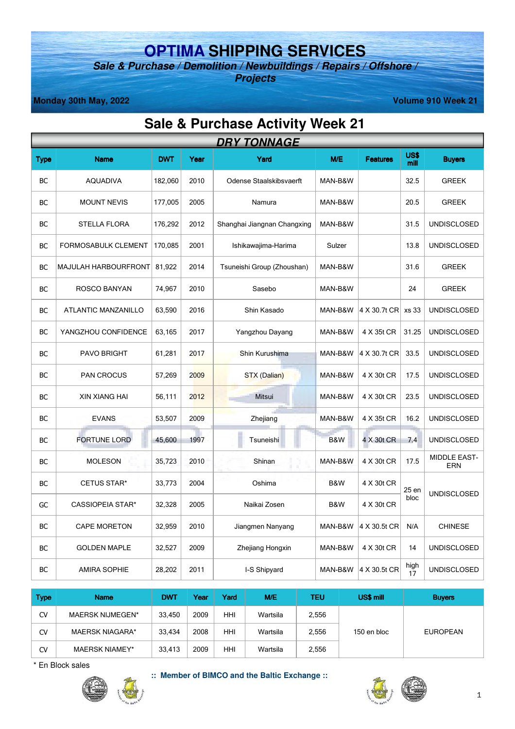## **OPTIMA SHIPPING SERVICES**

**Sale & Purchase / Demolition / Newbuildings / Repairs / Offshore / Projects** 

**Monday 30th May, 2022** Volume 910 Week 21

## **Sale & Purchase Activity Week 21**

|           | <b>DRY TONNAGE</b>         |            |      |                             |         |                 |                     |                            |  |
|-----------|----------------------------|------------|------|-----------------------------|---------|-----------------|---------------------|----------------------------|--|
| Type      | <b>Name</b>                | <b>DWT</b> | Year | Yard                        | M/E     | <b>Features</b> | <b>US\$</b><br>mill | <b>Buyers</b>              |  |
| ВC        | <b>AQUADIVA</b>            | 182,060    | 2010 | Odense Staalskibsvaerft     | MAN-B&W |                 | 32.5                | <b>GREEK</b>               |  |
| BC        | <b>MOUNT NEVIS</b>         | 177,005    | 2005 | Namura                      | MAN-B&W |                 | 20.5                | <b>GREEK</b>               |  |
| BC        | <b>STELLA FLORA</b>        | 176,292    | 2012 | Shanghai Jiangnan Changxing | MAN-B&W |                 | 31.5                | <b>UNDISCLOSED</b>         |  |
| BС        | <b>FORMOSABULK CLEMENT</b> | 170,085    | 2001 | Ishikawajima-Harima         | Sulzer  |                 | 13.8                | <b>UNDISCLOSED</b>         |  |
| <b>BC</b> | MAJULAH HARBOURFRONT       | 81,922     | 2014 | Tsuneishi Group (Zhoushan)  | MAN-B&W |                 | 31.6                | <b>GREEK</b>               |  |
| BC        | ROSCO BANYAN               | 74,967     | 2010 | Sasebo                      | MAN-B&W |                 | 24                  | <b>GREEK</b>               |  |
| BС        | ATLANTIC MANZANILLO        | 63,590     | 2016 | Shin Kasado                 | MAN-B&W | 4 X 30.7t CR    | xs 33               | <b>UNDISCLOSED</b>         |  |
| BC        | YANGZHOU CONFIDENCE        | 63,165     | 2017 | Yangzhou Dayang             | MAN-B&W | 4 X 35t CR      | 31.25               | <b>UNDISCLOSED</b>         |  |
| BС        | PAVO BRIGHT                | 61,281     | 2017 | Shin Kurushima              | MAN-B&W | 4 X 30.7t CR    | 33.5                | <b>UNDISCLOSED</b>         |  |
| ВC        | <b>PAN CROCUS</b>          | 57,269     | 2009 | STX (Dalian)                | MAN-B&W | 4 X 30t CR      | 17.5                | <b>UNDISCLOSED</b>         |  |
| BC        | <b>XIN XIANG HAI</b>       | 56,111     | 2012 | Mitsui                      | MAN-B&W | 4 X 30t CR      | 23.5                | <b>UNDISCLOSED</b>         |  |
| ВC        | <b>EVANS</b>               | 53,507     | 2009 | Zhejiang                    | MAN-B&W | 4 X 35t CR      | 16.2                | <b>UNDISCLOSED</b>         |  |
| ВC        | <b>FORTUNE LORD</b>        | 45,600     | 1997 | Tsuneishi                   | B&W     | 4 X 30t CR      | 7.4                 | <b>UNDISCLOSED</b>         |  |
| ВC        | <b>MOLESON</b>             | 35,723     | 2010 | Shinan                      | MAN-B&W | 4 X 30t CR      | 17.5                | MIDDLE EAST-<br><b>ERN</b> |  |
| BС        | <b>CETUS STAR*</b>         | 33,773     | 2004 | Oshima                      | B&W     | 4 X 30t CR      | 25 en               |                            |  |
| GC        | <b>CASSIOPEIA STAR*</b>    | 32,328     | 2005 | Naikai Zosen                | B&W     | 4 X 30t CR      | bloc                | <b>UNDISCLOSED</b>         |  |
| BC        | <b>CAPE MORETON</b>        | 32,959     | 2010 | Jiangmen Nanyang            | MAN-B&W | 4 X 30.5t CR    | N/A                 | <b>CHINESE</b>             |  |
| BC        | <b>GOLDEN MAPLE</b>        | 32,527     | 2009 | Zhejiang Hongxin            | MAN-B&W | 4 X 30t CR      | 14                  | <b>UNDISCLOSED</b>         |  |
| ВC        | <b>AMIRA SOPHIE</b>        | 28,202     | 2011 | I-S Shipyard                | MAN-B&W | 4 X 30.5t CR    | high<br>17          | <b>UNDISCLOSED</b>         |  |

| <b>Type</b> | <b>Name</b>           | <b>DWT</b> | Year | Yard | M/E      | TEU   | US\$ mill   | <b>Buvers</b>   |  |
|-------------|-----------------------|------------|------|------|----------|-------|-------------|-----------------|--|
| CV          | MAERSK NIJMEGEN*      | 33.450     | 2009 | HHI  | Wartsila | 2,556 |             |                 |  |
| CV          | MAERSK NIAGARA*       | 33.434     | 2008 | HHI  | Wartsila | 2.556 | 150 en bloc | <b>EUROPEAN</b> |  |
| CV          | <b>MAERSK NIAMEY*</b> | 33.413     | 2009 | HHI  | Wartsila | 2,556 |             |                 |  |

\* En Block sales



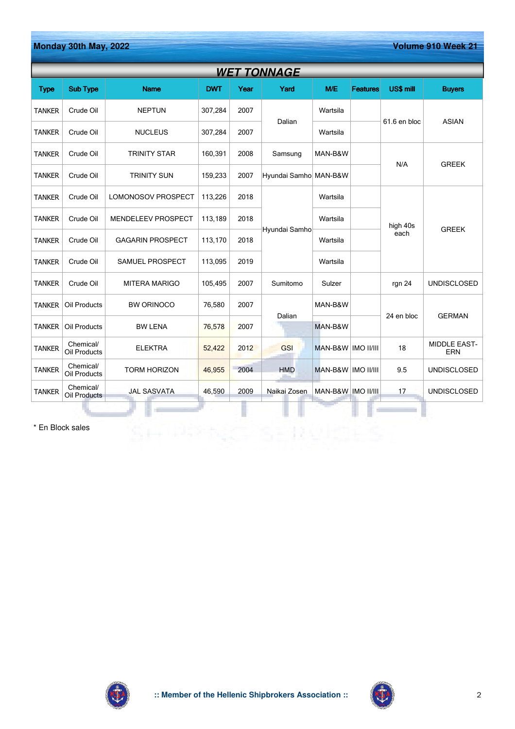| Monday 30th May, 2022<br>Volume 910 Week 21 |                           |                           |            |      |                       |                      |                 |                  |                            |  |  |
|---------------------------------------------|---------------------------|---------------------------|------------|------|-----------------------|----------------------|-----------------|------------------|----------------------------|--|--|
|                                             | WET TONNAGE               |                           |            |      |                       |                      |                 |                  |                            |  |  |
| <b>Type</b>                                 | <b>Sub Type</b>           | <b>Name</b>               | <b>DWT</b> | Year | Yard                  | M/E                  | <b>Features</b> | US\$ mill        | <b>Buyers</b>              |  |  |
| <b>TANKER</b>                               | Crude Oil                 | <b>NEPTUN</b>             | 307,284    | 2007 |                       | Wartsila             |                 |                  |                            |  |  |
| <b>TANKER</b>                               | Crude Oil                 | <b>NUCLEUS</b>            | 307,284    | 2007 | Dalian                | Wartsila             |                 | 61.6 en bloc     | <b>ASIAN</b>               |  |  |
| <b>TANKER</b>                               | Crude Oil                 | <b>TRINITY STAR</b>       | 160,391    | 2008 | Samsung               | MAN-B&W              |                 |                  |                            |  |  |
| <b>TANKER</b>                               | Crude Oil                 | <b>TRINITY SUN</b>        | 159,233    | 2007 | Hyundai Samho MAN-B&W |                      |                 | N/A              | <b>GREEK</b>               |  |  |
| <b>TANKER</b>                               | Crude Oil                 | LOMONOSOV PROSPECT        | 113,226    | 2018 |                       | Wartsila             |                 |                  |                            |  |  |
| <b>TANKER</b>                               | Crude Oil                 | <b>MENDELEEV PROSPECT</b> | 113,189    | 2018 |                       | Wartsila             |                 | high 40s<br>each | <b>GREEK</b>               |  |  |
| <b>TANKER</b>                               | Crude Oil                 | <b>GAGARIN PROSPECT</b>   | 113,170    | 2018 | Hyundai Samho         | Wartsila             |                 |                  |                            |  |  |
| <b>TANKER</b>                               | Crude Oil                 | SAMUEL PROSPECT           | 113,095    | 2019 |                       | Wartsila             |                 |                  |                            |  |  |
| <b>TANKER</b>                               | Crude Oil                 | <b>MITERA MARIGO</b>      | 105,495    | 2007 | Sumitomo              | Sulzer               |                 | rgn 24           | <b>UNDISCLOSED</b>         |  |  |
| <b>TANKER</b>                               | Oil Products              | <b>BW ORINOCO</b>         | 76,580     | 2007 |                       | MAN-B&W              |                 |                  |                            |  |  |
| <b>TANKER</b>                               | Oil Products              | <b>BW LENA</b>            | 76,578     | 2007 | Dalian                | MAN-B&W              |                 | 24 en bloc       | <b>GERMAN</b>              |  |  |
| <b>TANKER</b>                               | Chemical/<br>Oil Products | <b>ELEKTRA</b>            | 52,422     | 2012 | GSI                   | MAN-B&W   IMO II/III |                 | 18               | <b>MIDDLE EAST-</b><br>ERN |  |  |
| <b>TANKER</b>                               | Chemical/<br>Oil Products | <b>TORM HORIZON</b>       | 46,955     | 2004 | <b>HMD</b>            | MAN-B&W   IMO II/III |                 | 9.5              | <b>UNDISCLOSED</b>         |  |  |
| <b>TANKER</b>                               | Chemical/<br>Oil Products | <b>JAL SASVATA</b>        | 46,590     | 2009 | Naikai Zosen          | MAN-B&W IMO II/III   |                 | 17               | <b>UNDISCLOSED</b>         |  |  |
|                                             |                           |                           |            |      |                       |                      |                 |                  |                            |  |  |

SHIPPING SERVICES

\* En Block sales



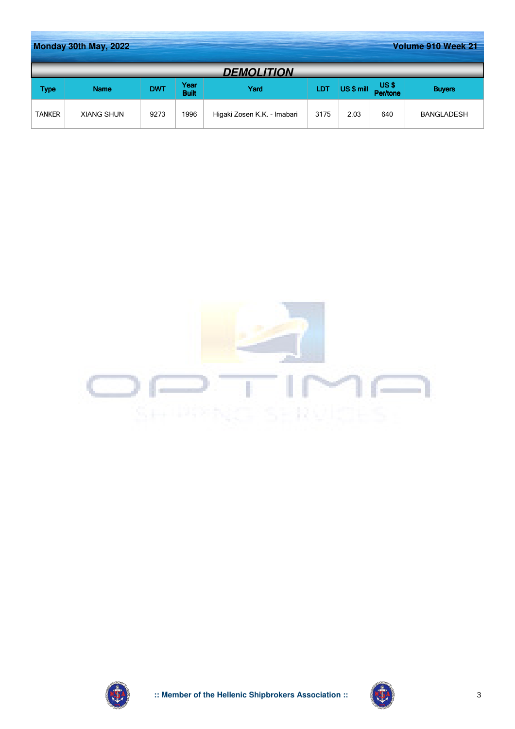|                   | Monday 30th May, 2022<br>Volume 910 Week 21 |            |                      |                             |            |            |                  |                   |  |  |
|-------------------|---------------------------------------------|------------|----------------------|-----------------------------|------------|------------|------------------|-------------------|--|--|
| <b>DEMOLITION</b> |                                             |            |                      |                             |            |            |                  |                   |  |  |
| Type              | <b>Name</b>                                 | <b>DWT</b> | Year<br><b>Built</b> | Yard                        | <b>LDT</b> | US \$ mill | US\$<br>Per/tone | <b>Buyers</b>     |  |  |
| <b>TANKER</b>     | <b>XIANG SHUN</b>                           | 9273       | 1996                 | Higaki Zosen K.K. - Imabari | 3175       | 2.03       | 640              | <b>BANGLADESH</b> |  |  |





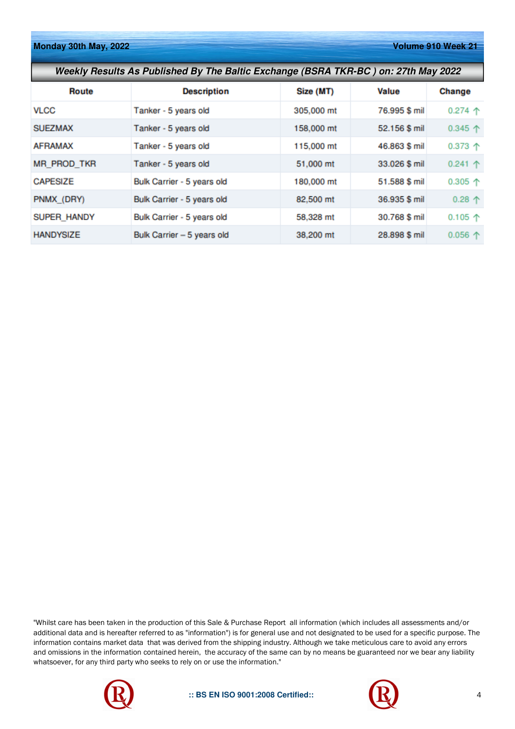**Monday 30th May, 2022** Volume 910 Week 21

| Weekly Results As Published By The Baltic Exchange (BSRA TKR-BC) on: 27th May 2022 |                            |            |               |                  |  |  |  |  |
|------------------------------------------------------------------------------------|----------------------------|------------|---------------|------------------|--|--|--|--|
| Route                                                                              | <b>Description</b>         | Size (MT)  | Value         | Change           |  |  |  |  |
| <b>VLCC</b>                                                                        | Tanker - 5 years old       | 305,000 mt | 76.995 \$ mil | $0.274$ 个        |  |  |  |  |
| <b>SUEZMAX</b>                                                                     | Tanker - 5 years old       | 158,000 mt | 52.156 \$ mil | $0.345$ 个        |  |  |  |  |
| <b>AFRAMAX</b>                                                                     | Tanker - 5 years old       | 115,000 mt | 46.863 \$ mil | $0.373$ 个        |  |  |  |  |
| <b>MR_PROD_TKR</b>                                                                 | Tanker - 5 years old       | 51,000 mt  | 33.026 \$ mil | $0.241$ 个        |  |  |  |  |
| <b>CAPESIZE</b>                                                                    | Bulk Carrier - 5 years old | 180,000 mt | 51.588 \$ mil | 0.305 $\uparrow$ |  |  |  |  |
| PNMX (DRY)                                                                         | Bulk Carrier - 5 years old | 82,500 mt  | 36.935 \$ mil | $0.28$ 个         |  |  |  |  |
| <b>SUPER HANDY</b>                                                                 | Bulk Carrier - 5 years old | 58,328 mt  | 30.768 \$ mil | $0.105$ 个        |  |  |  |  |
| <b>HANDYSIZE</b>                                                                   | Bulk Carrier - 5 years old | 38,200 mt  | 28.898 \$ mil | $0.056$ 个        |  |  |  |  |

"Whilst care has been taken in the production of this Sale & Purchase Report all information (which includes all assessments and/or additional data and is hereafter referred to as "information") is for general use and not designated to be used for a specific purpose. The information contains market data that was derived from the shipping industry. Although we take meticulous care to avoid any errors and omissions in the information contained herein, the accuracy of the same can by no means be guaranteed nor we bear any liability whatsoever, for any third party who seeks to rely on or use the information."